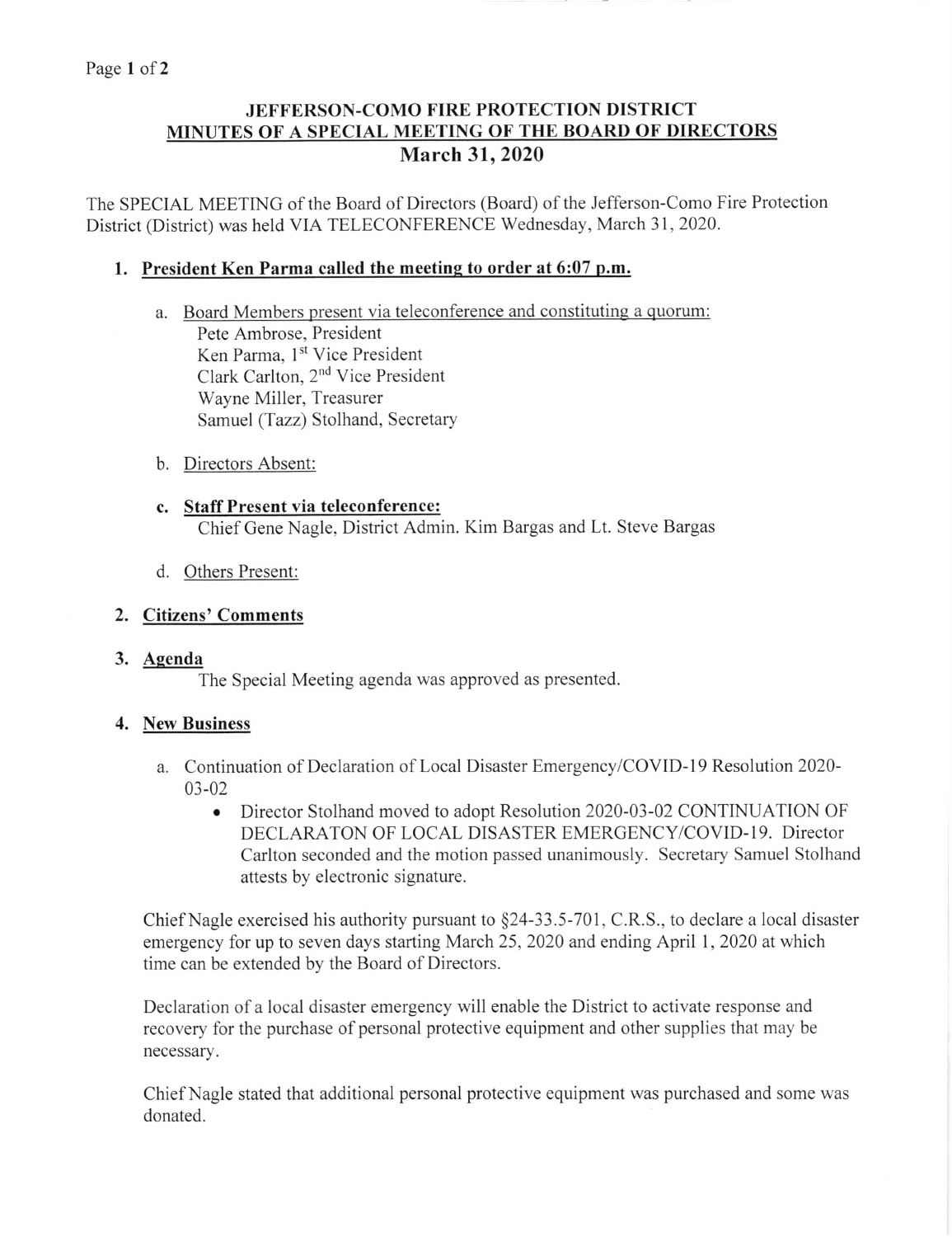# JEFFERSON-COMO FIRE PROTECTION DISTRICT MINUTES OF A SPECIAL MEETING OF THE BOARD OF DIRECTORS March 31,2020

The SPECIAL MEETING of the Board of Directors (Board) of the Jefferson-Como Fire Protection District (District) was held VIA TELECONFERENCE Wednesday, March 31,2020.

## 1. President Ken Parma called the meeting to order at 6:07 p.m.

- a. Board Members present via teleconference and constituting a quorum: Pete Ambrose, President Ken Parma, 1<sup>st</sup> Vice President Clark Carlton, 2nd Vice President Wayne Miller, Treasurer Samuel (Tazz) Stolhand, Secretary
- b. Directors Absent:
- c. Staff Present via teleconference: Chief Gene Nagle, District Admin. Kim Bargas and Lt. Steve Bargas
- d. Others Present:

### 2, Citizens'Comments

3. Agenda

The Special Meeting agenda was approved as presented.

## 4. New Business

- a. Continuation of Declaration of Local Disaster Emergency/COVID-19 Resolution 2020- $03 - 02$ 
	- Director Stolhand moved to adopt Resolution 2020-03-02 CONTINUATION OF DECLARATON OF LOCAL DISASTER EMERGENCY/COVID-19. Director Carlton seconded and the motion passed unanimously. Secretary Samuel Stolhand attests by electronic signature.

Chief Nagle exercised his authority pursuant to \$24-33.5-701, C.R.S., to declare a local disaster emergency for up to seven days starting March 25, 2020 and ending April 1, 2020 at which time can be extended by the Board of Directors.

Declaration of a local disaster emergency will enable the District to activate response and recovery for the purchase of personal protective equipment and other supplies that may be necessary.

Chief Nagle stated that additional personal protective equipment was purchased and some was donated.